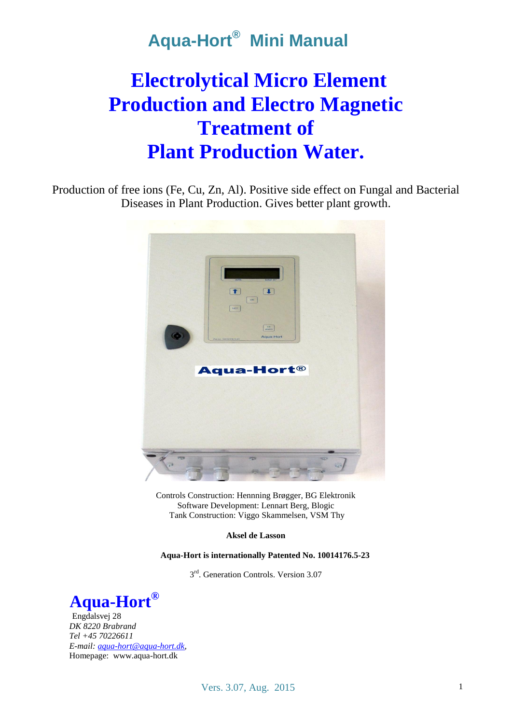# **Electrolytical Micro Element Production and Electro Magnetic Treatment of Plant Production Water.**

Production of free ions (Fe, Cu, Zn, Al). Positive side effect on Fungal and Bacterial Diseases in Plant Production. Gives better plant growth.



Controls Construction: Hennning Brøgger, BG Elektronik Software Development: Lennart Berg, Blogic Tank Construction: Viggo Skammelsen, VSM Thy

**Aksel de Lasson**

**Aqua-Hort is internationally Patented No. 10014176.5-23**

3<sup>rd</sup>. Generation Controls. Version 3.07



Engdalsvej 28 *DK 8220 Brabrand Tel +45 70226611 E-mail[: aqua-hort@aqua-hort.dk,](mailto:aqua-hort@aqua-hort.dk)*  Homepage: www.aqua-hort.dk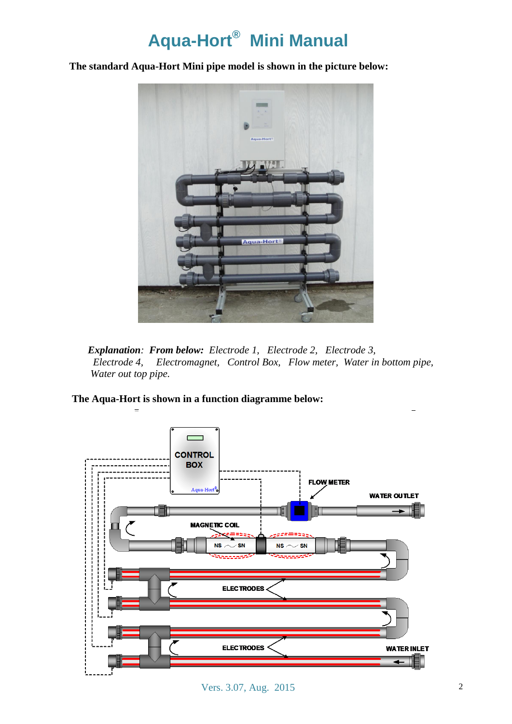### **The standard Aqua-Hort Mini pipe model is shown in the picture below:**



*Explanation: From below: Electrode 1, Electrode 2, Electrode 3, Electrode 4, Electromagnet, Control Box, Flow meter, Water in bottom pipe, Water out top pipe.*

**The Aqua-Hort is shown in a function diagramme below:** 



Vers. 3.07, Aug. 2015 2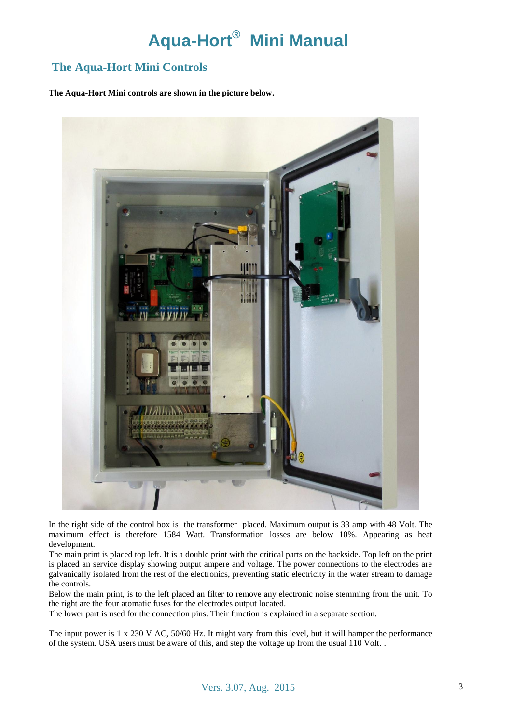### **The Aqua-Hort Mini Controls**

**The Aqua-Hort Mini controls are shown in the picture below.**



In the right side of the control box is the transformer placed. Maximum output is 33 amp with 48 Volt. The maximum effect is therefore 1584 Watt. Transformation losses are below 10%. Appearing as heat development.

The main print is placed top left. It is a double print with the critical parts on the backside. Top left on the print is placed an service display showing output ampere and voltage. The power connections to the electrodes are galvanically isolated from the rest of the electronics, preventing static electricity in the water stream to damage the controls.

Below the main print, is to the left placed an filter to remove any electronic noise stemming from the unit. To the right are the four atomatic fuses for the electrodes output located.

The lower part is used for the connection pins. Their function is explained in a separate section.

The input power is 1 x 230 V AC, 50/60 Hz. It might vary from this level, but it will hamper the performance of the system. USA users must be aware of this, and step the voltage up from the usual 110 Volt. .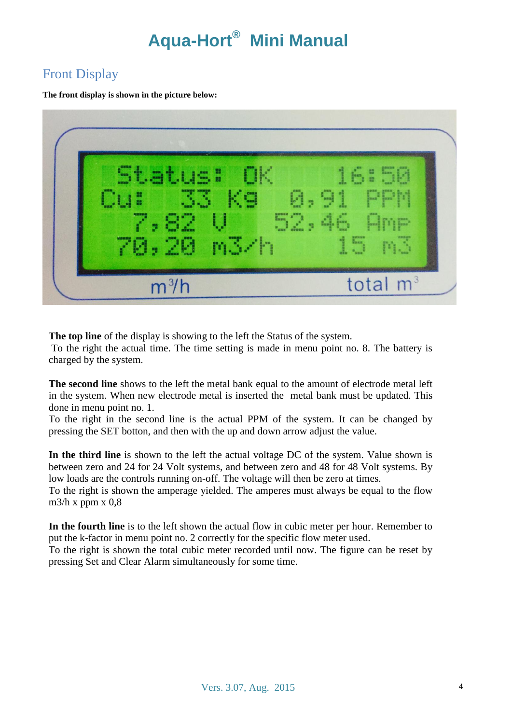### Front Display

**The front display is shown in the picture below:**

| Cu: 33 Kg 0.91 PPM | Status: OK 16:50<br>7,82 US 52,46 Amp<br>70,20 m3/h 15 m3 |  |
|--------------------|-----------------------------------------------------------|--|
|--------------------|-----------------------------------------------------------|--|

**The top line** of the display is showing to the left the Status of the system.

To the right the actual time. The time setting is made in menu point no. 8. The battery is charged by the system.

**The second line** shows to the left the metal bank equal to the amount of electrode metal left in the system. When new electrode metal is inserted the metal bank must be updated. This done in menu point no. 1.

To the right in the second line is the actual PPM of the system. It can be changed by pressing the SET botton, and then with the up and down arrow adjust the value.

**In the third line** is shown to the left the actual voltage DC of the system. Value shown is between zero and 24 for 24 Volt systems, and between zero and 48 for 48 Volt systems. By low loads are the controls running on-off. The voltage will then be zero at times.

To the right is shown the amperage yielded. The amperes must always be equal to the flow m $3/h$  x ppm x 0,8

**In the fourth line** is to the left shown the actual flow in cubic meter per hour. Remember to put the k-factor in menu point no. 2 correctly for the specific flow meter used.

To the right is shown the total cubic meter recorded until now. The figure can be reset by pressing Set and Clear Alarm simultaneously for some time.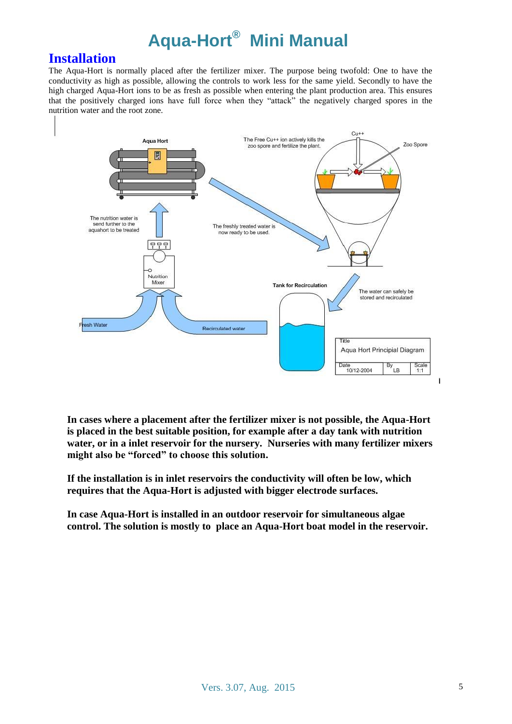### **Installation**

The Aqua-Hort is normally placed after the fertilizer mixer. The purpose being twofold: One to have the conductivity as high as possible, allowing the controls to work less for the same yield. Secondly to have the high charged Aqua-Hort ions to be as fresh as possible when entering the plant production area. This ensures that the positively charged ions have full force when they "attack" the negatively charged spores in the nutrition water and the root zone.



**In cases where a placement after the fertilizer mixer is not possible, the Aqua-Hort is placed in the best suitable position, for example after a day tank with nutrition water, or in a inlet reservoir for the nursery. Nurseries with many fertilizer mixers might also be "forced" to choose this solution.**

**If the installation is in inlet reservoirs the conductivity will often be low, which requires that the Aqua-Hort is adjusted with bigger electrode surfaces.**

**In case Aqua-Hort is installed in an outdoor reservoir for simultaneous algae control. The solution is mostly to place an Aqua-Hort boat model in the reservoir.**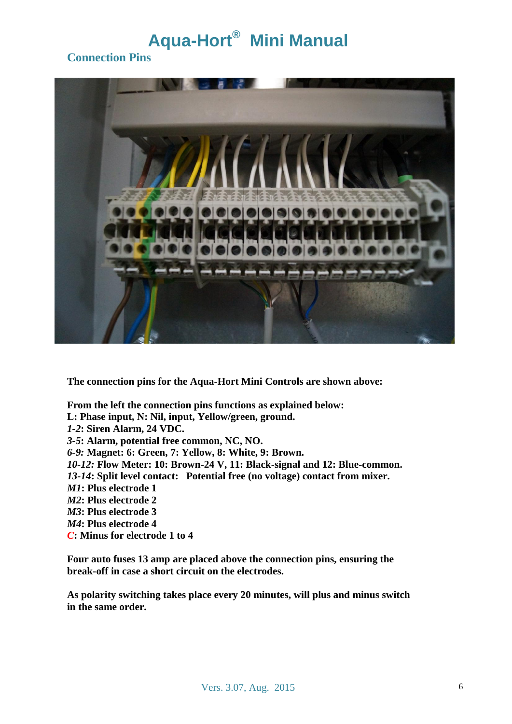### **Connection Pins**



**The connection pins for the Aqua-Hort Mini Controls are shown above:**

**From the left the connection pins functions as explained below: L: Phase input, N: Nil, input, Yellow/green, ground.** *1-2***: Siren Alarm, 24 VDC.** *3-5***: Alarm, potential free common, NC, NO.** *6-9:* **Magnet: 6: Green, 7: Yellow, 8: White, 9: Brown.** *10-12:* **Flow Meter: 10: Brown-24 V, 11: Black-signal and 12: Blue-common.** *13-14***: Split level contact: Potential free (no voltage) contact from mixer.** *M1***: Plus electrode 1** *M2***: Plus electrode 2** *M3***: Plus electrode 3** *M4***: Plus electrode 4** *C***: Minus for electrode 1 to 4**

**Four auto fuses 13 amp are placed above the connection pins, ensuring the break-off in case a short circuit on the electrodes.** 

**As polarity switching takes place every 20 minutes, will plus and minus switch in the same order.**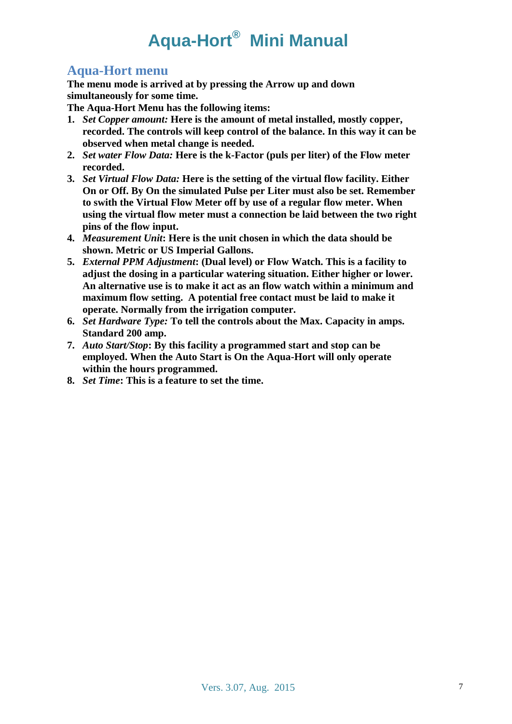### **Aqua-Hort menu**

**The menu mode is arrived at by pressing the Arrow up and down simultaneously for some time.** 

**The Aqua-Hort Menu has the following items:**

- **1.** *Set Copper amount:* **Here is the amount of metal installed, mostly copper, recorded. The controls will keep control of the balance. In this way it can be observed when metal change is needed.**
- **2.** *Set water Flow Data:* **Here is the k-Factor (puls per liter) of the Flow meter recorded.**
- **3.** *Set Virtual Flow Data:* **Here is the setting of the virtual flow facility. Either On or Off. By On the simulated Pulse per Liter must also be set. Remember to swith the Virtual Flow Meter off by use of a regular flow meter. When using the virtual flow meter must a connection be laid between the two right pins of the flow input.**
- **4.** *Measurement Unit***: Here is the unit chosen in which the data should be shown. Metric or US Imperial Gallons.**
- **5.** *External PPM Adjustment***: (Dual level) or Flow Watch. This is a facility to adjust the dosing in a particular watering situation. Either higher or lower. An alternative use is to make it act as an flow watch within a minimum and maximum flow setting. A potential free contact must be laid to make it operate. Normally from the irrigation computer.**
- **6.** *Set Hardware Type:* **To tell the controls about the Max. Capacity in amps. Standard 200 amp.**
- **7.** *Auto Start/Stop***: By this facility a programmed start and stop can be employed. When the Auto Start is On the Aqua-Hort will only operate within the hours programmed.**
- **8.** *Set Time***: This is a feature to set the time.**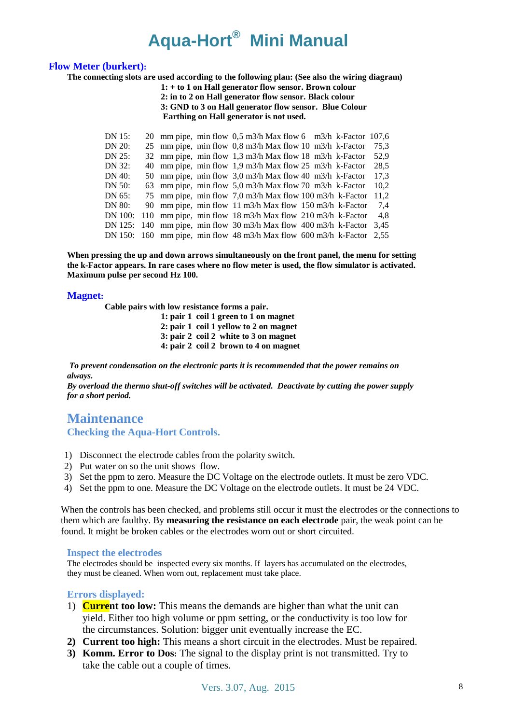#### **Flow Meter (burkert):**

**The connecting slots are used according to the following plan: (See also the wiring diagram)**

**1: + to 1 on Hall generator flow sensor. Brown colour 2: in to 2 on Hall generator flow sensor. Black colour 3: GND to 3 on Hall generator flow sensor. Blue Colour Earthing on Hall generator is not used.**

| DN 15:  |  | 20 mm pipe, min flow $0.5$ m3/h Max flow 6 m3/h k-Factor 107.6          |  |      |
|---------|--|-------------------------------------------------------------------------|--|------|
| DN 20:  |  | 25 mm pipe, min flow 0,8 m3/h Max flow 10 m3/h k-Factor                 |  | 75.3 |
| DN 25:  |  | 32 mm pipe, min flow 1,3 m3/h Max flow 18 m3/h k-Factor                 |  | 52.9 |
| DN 32:  |  | 40 mm pipe, min flow 1.9 m3/h Max flow 25 m3/h k-Factor                 |  | 28.5 |
| DN 40:  |  | 50 mm pipe, min flow 3,0 m3/h Max flow 40 m3/h k-Factor                 |  | 17.3 |
| DN 50:  |  | 63 mm pipe, min flow 5,0 m3/h Max flow 70 m3/h k-Factor                 |  | 10.2 |
| DN 65:  |  | 75 mm pipe, min flow 7,0 m3/h Max flow 100 m3/h k-Factor                |  | 11.2 |
| DN 80:  |  | 90 mm pipe, min flow 11 m3/h Max flow 150 m3/h k-Factor                 |  | 7.4  |
| DN 100: |  | 110 mm pipe, min flow 18 m3/h Max flow 210 m3/h k-Factor                |  | 4.8  |
|         |  | DN 125: 140 mm pipe, min flow 30 m3/h Max flow 400 m3/h k-Factor        |  | 3.45 |
|         |  | DN 150: 160 mm pipe, min flow 48 m3/h Max flow 600 m3/h k-Factor $2,55$ |  |      |

**When pressing the up and down arrows simultaneously on the front panel, the menu for setting the k-Factor appears. In rare cases where no flow meter is used, the flow simulator is activated. Maximum pulse per second Hz 100.**

#### **Magnet:**

**Cable pairs with low resistance forms a pair.**

**1: pair 1 coil 1 green to 1 on magnet 2: pair 1 coil 1 yellow to 2 on magnet 3: pair 2 coil 2 white to 3 on magnet 4: pair 2 coil 2 brown to 4 on magnet**

*To prevent condensation on the electronic parts it is recommended that the power remains on always.* 

*By overload the thermo shut-off switches will be activated. Deactivate by cutting the power supply for a short period.*

### **Maintenance Checking the Aqua-Hort Controls.**

- 1) Disconnect the electrode cables from the polarity switch.
- 2) Put water on so the unit shows flow.
- 3) Set the ppm to zero. Measure the DC Voltage on the electrode outlets. It must be zero VDC.
- 4) Set the ppm to one. Measure the DC Voltage on the electrode outlets. It must be 24 VDC.

When the controls has been checked, and problems still occur it must the electrodes or the connections to them which are faulthy. By **measuring the resistance on each electrode** pair, the weak point can be found. It might be broken cables or the electrodes worn out or short circuited.

#### **Inspect the electrodes**

The electrodes should be inspected every six months. If layers has accumulated on the electrodes, they must be cleaned. When worn out, replacement must take place.

#### **Errors displayed:**

- 1) **Current too low:** This means the demands are higher than what the unit can yield. Either too high volume or ppm setting, or the conductivity is too low for the circumstances. Solution: bigger unit eventually increase the EC.
- **2) Current too high:** This means a short circuit in the electrodes. Must be repaired.
- **3) Komm. Error to Dos:** The signal to the display print is not transmitted. Try to take the cable out a couple of times.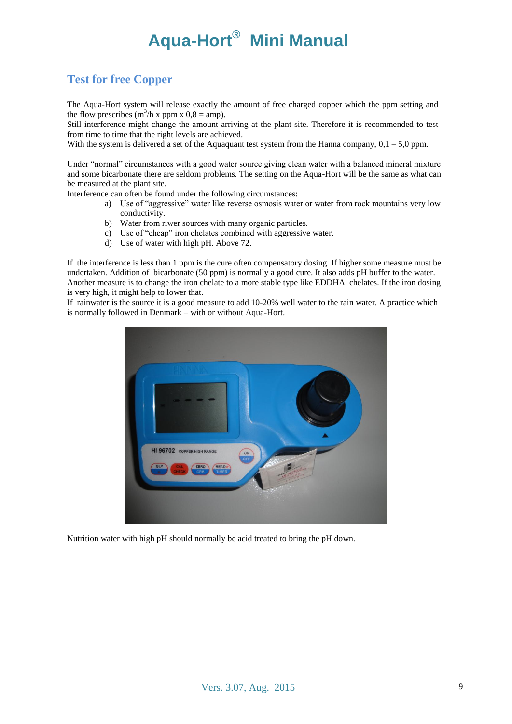### **Test for free Copper**

The Aqua-Hort system will release exactly the amount of free charged copper which the ppm setting and the flow prescribes  $(m^3/h x$  ppm  $x$  0,8 = amp).

Still interference might change the amount arriving at the plant site. Therefore it is recommended to test from time to time that the right levels are achieved.

With the system is delivered a set of the Aquaquant test system from the Hanna company,  $0, 1 - 5, 0$  ppm.

Under "normal" circumstances with a good water source giving clean water with a balanced mineral mixture and some bicarbonate there are seldom problems. The setting on the Aqua-Hort will be the same as what can be measured at the plant site.

Interference can often be found under the following circumstances:

- a) Use of "aggressive" water like reverse osmosis water or water from rock mountains very low conductivity.
- b) Water from riwer sources with many organic particles.
- c) Use of "cheap" iron chelates combined with aggressive water.
- d) Use of water with high pH. Above 72.

If the interference is less than 1 ppm is the cure often compensatory dosing. If higher some measure must be undertaken. Addition of bicarbonate (50 ppm) is normally a good cure. It also adds pH buffer to the water. Another measure is to change the iron chelate to a more stable type like EDDHA chelates. If the iron dosing is very high, it might help to lower that.

If rainwater is the source it is a good measure to add 10-20% well water to the rain water. A practice which is normally followed in Denmark – with or without Aqua-Hort.



Nutrition water with high pH should normally be acid treated to bring the pH down.